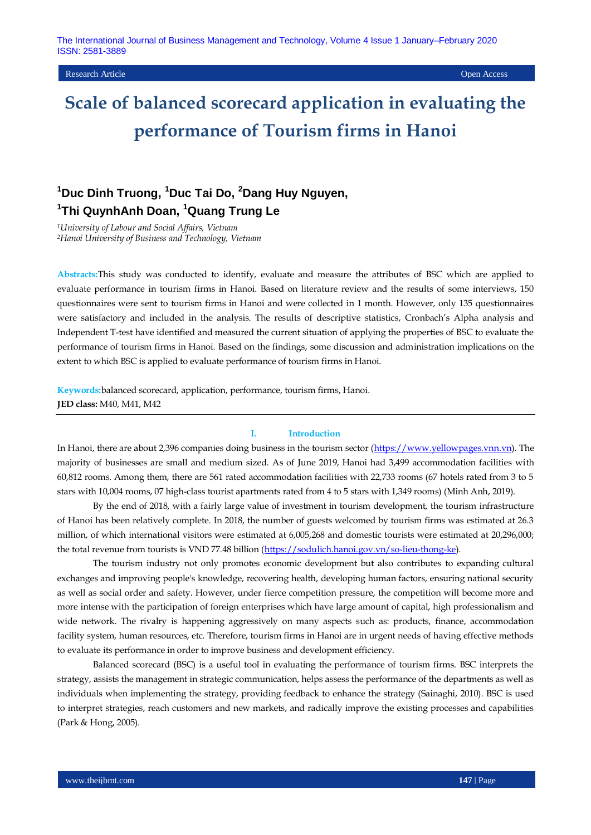**Research Article Open Access Contract Contract Contract Contract Contract Contract Contract Contract Contract Contract Contract Contract Contract Contract Contract Contract Contract Contract Contract Contract Contract C** 

# **Scale of balanced scorecard application in evaluating the performance of Tourism firms in Hanoi**

## **<sup>1</sup>Duc Dinh Truong, <sup>1</sup>Duc Tai Do, <sup>2</sup>Dang Huy Nguyen, 1 Thi QuynhAnh Doan, <sup>1</sup>Quang Trung Le**

*<sup>1</sup>University of Labour and Social Affairs, Vietnam <sup>2</sup>Hanoi University of Business and Technology, Vietnam*

**Abstracts:**This study was conducted to identify, evaluate and measure the attributes of BSC which are applied to evaluate performance in tourism firms in Hanoi. Based on literature review and the results of some interviews, 150 questionnaires were sent to tourism firms in Hanoi and were collected in 1 month. However, only 135 questionnaires were satisfactory and included in the analysis. The results of descriptive statistics, Cronbach's Alpha analysis and Independent T-test have identified and measured the current situation of applying the properties of BSC to evaluate the performance of tourism firms in Hanoi. Based on the findings, some discussion and administration implications on the extent to which BSC is applied to evaluate performance of tourism firms in Hanoi.

**Keywords:**balanced scorecard, application, performance, tourism firms, Hanoi. **JED class:** M40, M41, M42

#### **I. Introduction**

In Hanoi, there are about 2,396 companies doing business in the tourism sector [\(https://www.yellowpages.vnn.vn\)](https://www.yellowpages.vnn.vn/). The majority of businesses are small and medium sized. As of June 2019, Hanoi had 3,499 accommodation facilities with 60,812 rooms. Among them, there are 561 rated accommodation facilities with 22,733 rooms (67 hotels rated from 3 to 5 stars with 10,004 rooms, 07 high-class tourist apartments rated from 4 to 5 stars with 1,349 rooms) (Minh Anh, 2019).

By the end of 2018, with a fairly large value of investment in tourism development, the tourism infrastructure of Hanoi has been relatively complete. In 2018, the number of guests welcomed by tourism firms was estimated at 26.3 million, of which international visitors were estimated at 6,005,268 and domestic tourists were estimated at 20,296,000; the total revenue from tourists is VND 77.48 billion [\(https://sodulich.hanoi.gov.vn/so-lieu-thong-ke\)](https://sodulich.hanoi.gov.vn/so-lieu-thong-ke).

The tourism industry not only promotes economic development but also contributes to expanding cultural exchanges and improving people's knowledge, recovering health, developing human factors, ensuring national security as well as social order and safety. However, under fierce competition pressure, the competition will become more and more intense with the participation of foreign enterprises which have large amount of capital, high professionalism and wide network. The rivalry is happening aggressively on many aspects such as: products, finance, accommodation facility system, human resources, etc. Therefore, tourism firms in Hanoi are in urgent needs of having effective methods to evaluate its performance in order to improve business and development efficiency.

Balanced scorecard (BSC) is a useful tool in evaluating the performance of tourism firms. BSC interprets the strategy, assists the management in strategic communication, helps assess the performance of the departments as well as individuals when implementing the strategy, providing feedback to enhance the strategy (Sainaghi, 2010). BSC is used to interpret strategies, reach customers and new markets, and radically improve the existing processes and capabilities (Park & Hong, 2005).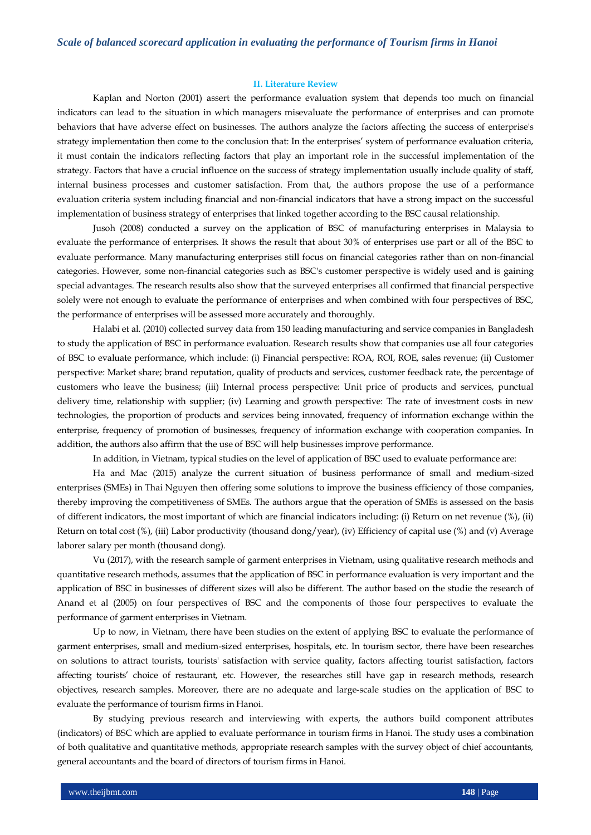#### **II. Literature Review**

Kaplan and Norton (2001) assert the performance evaluation system that depends too much on financial indicators can lead to the situation in which managers misevaluate the performance of enterprises and can promote behaviors that have adverse effect on businesses. The authors analyze the factors affecting the success of enterprise's strategy implementation then come to the conclusion that: In the enterprises' system of performance evaluation criteria, it must contain the indicators reflecting factors that play an important role in the successful implementation of the strategy. Factors that have a crucial influence on the success of strategy implementation usually include quality of staff, internal business processes and customer satisfaction. From that, the authors propose the use of a performance evaluation criteria system including financial and non-financial indicators that have a strong impact on the successful implementation of business strategy of enterprises that linked together according to the BSC causal relationship.

Jusoh (2008) conducted a survey on the application of BSC of manufacturing enterprises in Malaysia to evaluate the performance of enterprises. It shows the result that about 30% of enterprises use part or all of the BSC to evaluate performance. Many manufacturing enterprises still focus on financial categories rather than on non-financial categories. However, some non-financial categories such as BSC's customer perspective is widely used and is gaining special advantages. The research results also show that the surveyed enterprises all confirmed that financial perspective solely were not enough to evaluate the performance of enterprises and when combined with four perspectives of BSC, the performance of enterprises will be assessed more accurately and thoroughly.

Halabi et al. (2010) collected survey data from 150 leading manufacturing and service companies in Bangladesh to study the application of BSC in performance evaluation. Research results show that companies use all four categories of BSC to evaluate performance, which include: (i) Financial perspective: ROA, ROI, ROE, sales revenue; (ii) Customer perspective: Market share; brand reputation, quality of products and services, customer feedback rate, the percentage of customers who leave the business; (iii) Internal process perspective: Unit price of products and services, punctual delivery time, relationship with supplier; (iv) Learning and growth perspective: The rate of investment costs in new technologies, the proportion of products and services being innovated, frequency of information exchange within the enterprise, frequency of promotion of businesses, frequency of information exchange with cooperation companies. In addition, the authors also affirm that the use of BSC will help businesses improve performance.

In addition, in Vietnam, typical studies on the level of application of BSC used to evaluate performance are:

Ha and Mac (2015) analyze the current situation of business performance of small and medium-sized enterprises (SMEs) in Thai Nguyen then offering some solutions to improve the business efficiency of those companies, thereby improving the competitiveness of SMEs. The authors argue that the operation of SMEs is assessed on the basis of different indicators, the most important of which are financial indicators including: (i) Return on net revenue (%), (ii) Return on total cost (%), (iii) Labor productivity (thousand dong/year), (iv) Efficiency of capital use (%) and (v) Average laborer salary per month (thousand dong).

Vu (2017), with the research sample of garment enterprises in Vietnam, using qualitative research methods and quantitative research methods, assumes that the application of BSC in performance evaluation is very important and the application of BSC in businesses of different sizes will also be different. The author based on the studie the research of Anand et al (2005) on four perspectives of BSC and the components of those four perspectives to evaluate the performance of garment enterprises in Vietnam.

Up to now, in Vietnam, there have been studies on the extent of applying BSC to evaluate the performance of garment enterprises, small and medium-sized enterprises, hospitals, etc. In tourism sector, there have been researches on solutions to attract tourists, tourists' satisfaction with service quality, factors affecting tourist satisfaction, factors affecting tourists' choice of restaurant, etc. However, the researches still have gap in research methods, research objectives, research samples. Moreover, there are no adequate and large-scale studies on the application of BSC to evaluate the performance of tourism firms in Hanoi.

By studying previous research and interviewing with experts, the authors build component attributes (indicators) of BSC which are applied to evaluate performance in tourism firms in Hanoi. The study uses a combination of both qualitative and quantitative methods, appropriate research samples with the survey object of chief accountants, general accountants and the board of directors of tourism firms in Hanoi.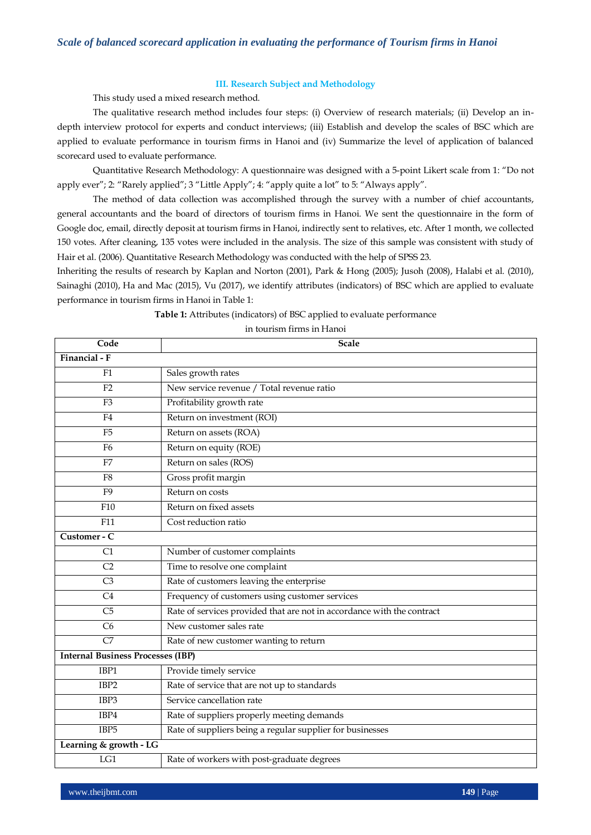#### **III. Research Subject and Methodology**

This study used a mixed research method.

The qualitative research method includes four steps: (i) Overview of research materials; (ii) Develop an indepth interview protocol for experts and conduct interviews; (iii) Establish and develop the scales of BSC which are applied to evaluate performance in tourism firms in Hanoi and (iv) Summarize the level of application of balanced scorecard used to evaluate performance.

Quantitative Research Methodology: A questionnaire was designed with a 5-point Likert scale from 1: "Do not apply ever"; 2: "Rarely applied"; 3 "Little Apply"; 4: "apply quite a lot" to 5: "Always apply".

The method of data collection was accomplished through the survey with a number of chief accountants, general accountants and the board of directors of tourism firms in Hanoi. We sent the questionnaire in the form of Google doc, email, directly deposit at tourism firms in Hanoi, indirectly sent to relatives, etc. After 1 month, we collected 150 votes. After cleaning, 135 votes were included in the analysis. The size of this sample was consistent with study of Hair et al. (2006). Quantitative Research Methodology was conducted with the help of SPSS 23.

Inheriting the results of research by Kaplan and Norton (2001), Park & Hong (2005); Jusoh (2008), Halabi et al. (2010), Sainaghi (2010), Ha and Mac (2015), Vu (2017), we identify attributes (indicators) of BSC which are applied to evaluate performance in tourism firms in Hanoi in Table 1:

**Table 1:** Attributes (indicators) of BSC applied to evaluate performance

in tourism firms in Hanoi

| Code                                     | <b>Scale</b>                                                           |
|------------------------------------------|------------------------------------------------------------------------|
| Financial - F                            |                                                                        |
| F1                                       | Sales growth rates                                                     |
| F <sub>2</sub>                           | New service revenue / Total revenue ratio                              |
| F <sub>3</sub>                           | Profitability growth rate                                              |
| F <sub>4</sub>                           | Return on investment (ROI)                                             |
| F <sub>5</sub>                           | Return on assets (ROA)                                                 |
| F <sub>6</sub>                           | Return on equity (ROE)                                                 |
| F7                                       | Return on sales (ROS)                                                  |
| F <sub>8</sub>                           | Gross profit margin                                                    |
| F <sub>9</sub>                           | Return on costs                                                        |
| F10                                      | Return on fixed assets                                                 |
| F11                                      | Cost reduction ratio                                                   |
| Customer - C                             |                                                                        |
| C1                                       | Number of customer complaints                                          |
| C <sub>2</sub>                           | Time to resolve one complaint                                          |
| C <sub>3</sub>                           | Rate of customers leaving the enterprise                               |
| C <sub>4</sub>                           | Frequency of customers using customer services                         |
| C <sub>5</sub>                           | Rate of services provided that are not in accordance with the contract |
| C6                                       | New customer sales rate                                                |
| C7                                       | Rate of new customer wanting to return                                 |
| <b>Internal Business Processes (IBP)</b> |                                                                        |
| IBP1                                     | Provide timely service                                                 |
| IBP <sub>2</sub>                         | Rate of service that are not up to standards                           |
| IBP3                                     | Service cancellation rate                                              |
| IBP4                                     | Rate of suppliers properly meeting demands                             |
| IBP5                                     | Rate of suppliers being a regular supplier for businesses              |
| Learning & growth - LG                   |                                                                        |
| LG1                                      | Rate of workers with post-graduate degrees                             |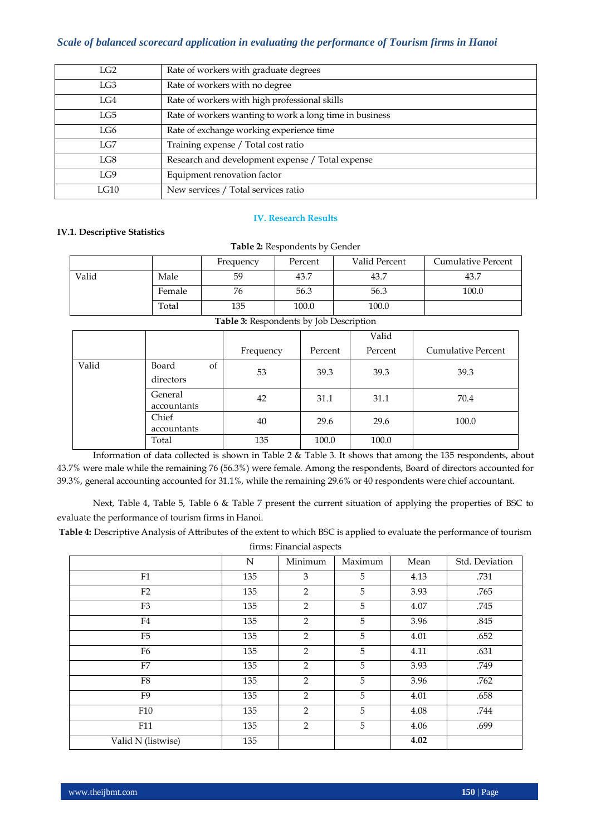| LG2  | Rate of workers with graduate degrees                   |
|------|---------------------------------------------------------|
| LG3  | Rate of workers with no degree                          |
| LG4  | Rate of workers with high professional skills           |
| LG5  | Rate of workers wanting to work a long time in business |
| LG6  | Rate of exchange working experience time                |
| LG7  | Training expense / Total cost ratio                     |
| LG8  | Research and development expense / Total expense        |
| LG9  | Equipment renovation factor                             |
| LG10 | New services / Total services ratio                     |

#### **IV. Research Results**

#### **IV.1. Descriptive Statistics**

|       |        | Frequency | Percent | Valid Percent | <b>Cumulative Percent</b> |
|-------|--------|-----------|---------|---------------|---------------------------|
| Valid | Male   | 59        | 43.7    | 43.7          | 43.7                      |
|       | Female | 76        | 56.3    | 56.3          | 100.0                     |
|       | Total  | 135       | 100.0   | 100.0         |                           |

#### **Table 2:** Respondents by Gender

|  |  |  | Table 3: Respondents by Job Description |
|--|--|--|-----------------------------------------|
|--|--|--|-----------------------------------------|

|       |                          |           |         | Valid   |                           |
|-------|--------------------------|-----------|---------|---------|---------------------------|
|       |                          | Frequency | Percent | Percent | <b>Cumulative Percent</b> |
| Valid | Board<br>οf<br>directors | 53        | 39.3    | 39.3    | 39.3                      |
|       | General<br>accountants   | 42        | 31.1    | 31.1    | 70.4                      |
|       | Chief<br>accountants     | 40        | 29.6    | 29.6    | 100.0                     |
|       | Total                    | 135       | 100.0   | 100.0   |                           |

Information of data collected is shown in Table 2 & Table 3. It shows that among the 135 respondents, about 43.7% were male while the remaining 76 (56.3%) were female. Among the respondents, Board of directors accounted for 39.3%, general accounting accounted for 31.1%, while the remaining 29.6% or 40 respondents were chief accountant.

Next, Table 4, Table 5, Table 6 & Table 7 present the current situation of applying the properties of BSC to evaluate the performance of tourism firms in Hanoi.

**Table 4:** Descriptive Analysis of Attributes of the extent to which BSC is applied to evaluate the performance of tourism firms: Financial aspects

|                    | $\mathbf N$ | Minimum        | Maximum | Mean | Std. Deviation |
|--------------------|-------------|----------------|---------|------|----------------|
| F <sub>1</sub>     | 135         | 3              | 5       | 4.13 | .731           |
| F2                 | 135         | 2              | 5       | 3.93 | .765           |
| F <sub>3</sub>     | 135         | 2              | 5       | 4.07 | .745           |
| F4                 | 135         | 2              | 5       | 3.96 | .845           |
| F5                 | 135         | 2              | 5       | 4.01 | .652           |
| F6                 | 135         | $\overline{2}$ | 5       | 4.11 | .631           |
| F7                 | 135         | 2              | 5       | 3.93 | .749           |
| F8                 | 135         | $\overline{2}$ | 5       | 3.96 | .762           |
| F <sub>9</sub>     | 135         | $\overline{2}$ | 5       | 4.01 | .658           |
| F10                | 135         | 2              | 5       | 4.08 | .744           |
| F11                | 135         | $\overline{2}$ | 5       | 4.06 | .699           |
| Valid N (listwise) | 135         |                |         | 4.02 |                |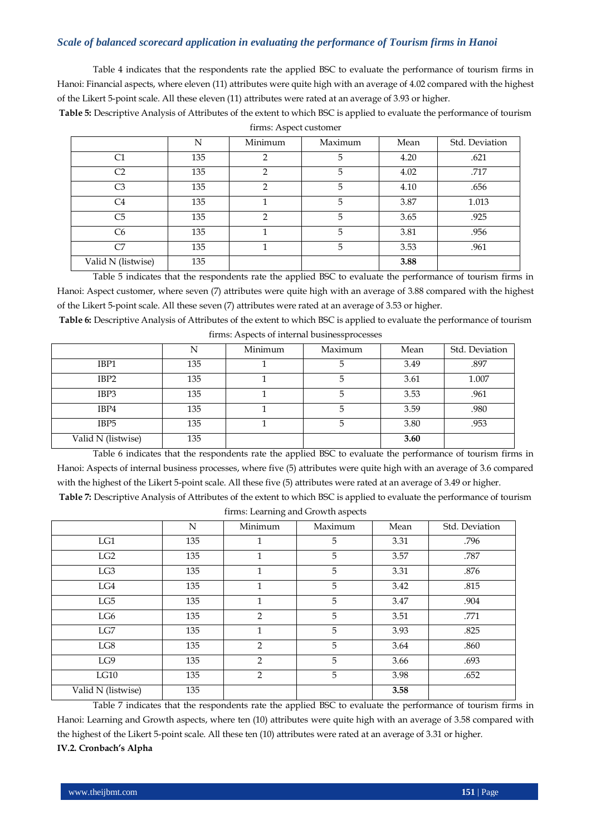Table 4 indicates that the respondents rate the applied BSC to evaluate the performance of tourism firms in Hanoi: Financial aspects, where eleven (11) attributes were quite high with an average of 4.02 compared with the highest of the Likert 5-point scale. All these eleven (11) attributes were rated at an average of 3.93 or higher.

**Table 5:** Descriptive Analysis of Attributes of the extent to which BSC is applied to evaluate the performance of tourism firms: Aspect customer

|                    | N   | Minimum        | Maximum | Mean | Std. Deviation |
|--------------------|-----|----------------|---------|------|----------------|
| C1                 | 135 | 2              | 5       | 4.20 | .621           |
| C2                 | 135 | ∍              | 5       | 4.02 | .717           |
| C <sub>3</sub>     | 135 | $\mathfrak{D}$ | 5       | 4.10 | .656           |
| C <sub>4</sub>     | 135 |                | 5       | 3.87 | 1.013          |
| C <sub>5</sub>     | 135 | 2              | 5       | 3.65 | .925           |
| C <sub>6</sub>     | 135 |                | 5       | 3.81 | .956           |
| C7                 | 135 |                | 5       | 3.53 | .961           |
| Valid N (listwise) | 135 |                |         | 3.88 |                |

Table 5 indicates that the respondents rate the applied BSC to evaluate the performance of tourism firms in Hanoi: Aspect customer, where seven (7) attributes were quite high with an average of 3.88 compared with the highest of the Likert 5-point scale. All these seven (7) attributes were rated at an average of 3.53 or higher.

**Table 6:** Descriptive Analysis of Attributes of the extent to which BSC is applied to evaluate the performance of tourism firms: Aspects of internal businessprocesses

|                    |     | Minimum | Maximum | Mean | Std. Deviation |
|--------------------|-----|---------|---------|------|----------------|
| IBP1               | 135 |         | 5       | 3.49 | .897           |
| IBP <sub>2</sub>   | 135 |         | 5       | 3.61 | 1.007          |
| IBP3               | 135 |         |         | 3.53 | .961           |
| IBP4               | 135 |         | 5       | 3.59 | .980           |
| IBP <sub>5</sub>   | 135 |         | 5       | 3.80 | .953           |
| Valid N (listwise) | 135 |         |         | 3.60 |                |

Table 6 indicates that the respondents rate the applied BSC to evaluate the performance of tourism firms in Hanoi: Aspects of internal business processes, where five (5) attributes were quite high with an average of 3.6 compared with the highest of the Likert 5-point scale. All these five (5) attributes were rated at an average of 3.49 or higher. **Table 7:** Descriptive Analysis of Attributes of the extent to which BSC is applied to evaluate the performance of tourism

|                    | N   | Minimum        | Maximum | Mean | Std. Deviation |
|--------------------|-----|----------------|---------|------|----------------|
| LG1                | 135 | 1              | 5       | 3.31 | .796           |
| LG2                | 135 | 1              | 5       | 3.57 | .787           |
| LG <sub>3</sub>    | 135 | 1              | 5       | 3.31 | .876           |
| LG4                | 135 | 1              | 5       | 3.42 | .815           |
| LG5                | 135 | 1              | 5       | 3.47 | .904           |
| LG6                | 135 | $\overline{2}$ | 5       | 3.51 | .771           |
| $_{\rm LG7}$       | 135 | 1              | 5       | 3.93 | .825           |
| LG8                | 135 | 2              | 5       | 3.64 | .860           |
| LG9                | 135 | $\overline{2}$ | 5       | 3.66 | .693           |
| LG10               | 135 | 2              | 5       | 3.98 | .652           |
| Valid N (listwise) | 135 |                |         | 3.58 |                |

firms: Learning and Growth aspects

Table 7 indicates that the respondents rate the applied BSC to evaluate the performance of tourism firms in Hanoi: Learning and Growth aspects, where ten (10) attributes were quite high with an average of 3.58 compared with the highest of the Likert 5-point scale. All these ten (10) attributes were rated at an average of 3.31 or higher. **IV.2. Cronbach's Alpha**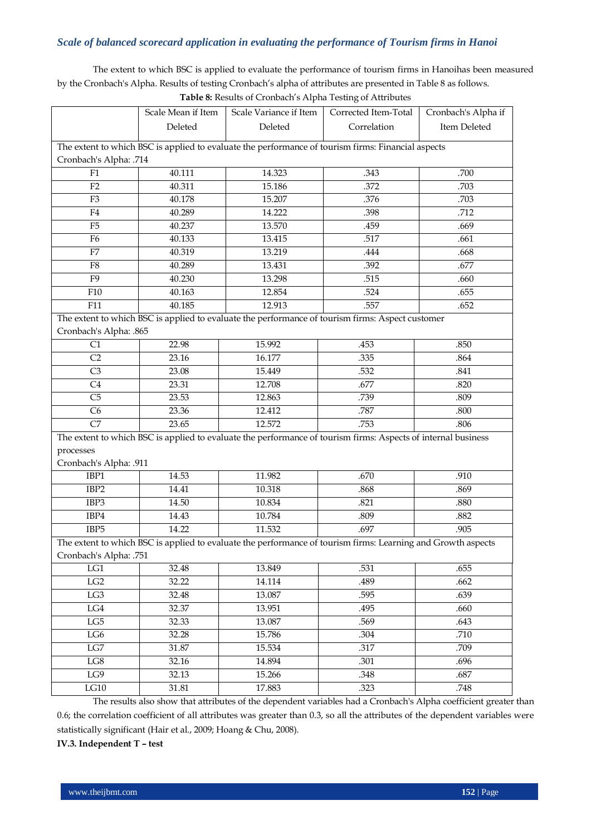The extent to which BSC is applied to evaluate the performance of tourism firms in Hanoihas been measured by the Cronbach's Alpha. Results of testing Cronbach's alpha of attributes are presented in Table 8 as follows. **Table 8:** Results of Cronbach's Alpha Testing of Attributes

|                              | Scale Mean if Item | Scale Variance if Item                                                                                        | Corrected Item-Total | Cronbach's Alpha if |
|------------------------------|--------------------|---------------------------------------------------------------------------------------------------------------|----------------------|---------------------|
|                              | Deleted            | Deleted                                                                                                       | Correlation          | Item Deleted        |
|                              |                    |                                                                                                               |                      |                     |
|                              |                    | The extent to which BSC is applied to evaluate the performance of tourism firms: Financial aspects            |                      |                     |
| Cronbach's Alpha: .714<br>F1 | 40.111             | 14.323                                                                                                        | .343                 | .700                |
| F <sub>2</sub>               | 40.311             | 15.186                                                                                                        | .372                 | .703                |
| F3                           | 40.178             | 15.207                                                                                                        | .376                 | .703                |
| F <sub>4</sub>               | 40.289             | 14.222                                                                                                        | .398                 | .712                |
| F <sub>5</sub>               | 40.237             | 13.570                                                                                                        | .459                 | .669                |
| F <sub>6</sub>               |                    |                                                                                                               | .517                 | .661                |
|                              | 40.133             | 13.415                                                                                                        |                      |                     |
| F7                           | 40.319             | 13.219                                                                                                        | .444                 | .668                |
| ${\rm F}8$                   | 40.289             | 13.431                                                                                                        | .392                 | .677                |
| F <sub>9</sub>               | 40.230             | 13.298                                                                                                        | .515                 | .660                |
| F10                          | 40.163             | 12.854                                                                                                        | .524                 | .655                |
| F11                          | 40.185             | 12.913                                                                                                        | .557                 | .652                |
|                              |                    | The extent to which BSC is applied to evaluate the performance of tourism firms: Aspect customer              |                      |                     |
| Cronbach's Alpha: .865       |                    |                                                                                                               |                      |                     |
| C1                           | 22.98              | 15.992                                                                                                        | .453                 | .850                |
| C <sub>2</sub>               | 23.16              | 16.177                                                                                                        | .335                 | .864                |
| C <sub>3</sub>               | 23.08              | 15.449                                                                                                        | .532                 | .841                |
| C <sub>4</sub>               | 23.31              | 12.708                                                                                                        | .677                 | .820                |
| C <sub>5</sub>               | 23.53              | 12.863                                                                                                        | .739                 | .809                |
| C6                           | 23.36              | 12.412                                                                                                        | .787                 | .800                |
| C7                           | 23.65              | 12.572                                                                                                        | .753                 | .806                |
|                              |                    | The extent to which BSC is applied to evaluate the performance of tourism firms: Aspects of internal business |                      |                     |
| processes                    |                    |                                                                                                               |                      |                     |
| Cronbach's Alpha: .911       |                    |                                                                                                               |                      |                     |
| IBP1                         | 14.53              | 11.982                                                                                                        | .670                 | .910                |
| IBP2                         | 14.41              | 10.318                                                                                                        | .868                 | .869                |
| IBP3                         | 14.50              | 10.834                                                                                                        | .821                 | .880                |
| IBP4                         | 14.43              | 10.784                                                                                                        | .809                 | .882                |
| IBP5                         | 14.22              | 11.532                                                                                                        | .697                 | .905                |
|                              |                    | The extent to which BSC is applied to evaluate the performance of tourism firms: Learning and Growth aspects  |                      |                     |
| Cronbach's Alpha: .751       |                    |                                                                                                               |                      |                     |
| LG1                          | 32.48              | 13.849                                                                                                        | .531                 | .655                |
| LG2                          | 32.22              | 14.114                                                                                                        | .489                 | .662                |
| LG3                          | 32.48              | 13.087                                                                                                        | .595                 | .639                |
| LG4                          | 32.37              | 13.951                                                                                                        | .495                 | .660                |
| LG5                          |                    |                                                                                                               |                      |                     |
|                              | 32.33              | 13.087                                                                                                        | .569                 | .643                |
| LG6                          | 32.28              | 15.786                                                                                                        | .304                 | .710                |
| $_{\rm LG7}$                 | 31.87              | 15.534                                                                                                        | .317                 | .709                |
| LG8                          | 32.16              | 14.894                                                                                                        | .301                 | .696                |
| LG9                          | 32.13              | 15.266                                                                                                        | .348                 | .687                |

The results also show that attributes of the dependent variables had a Cronbach's Alpha coefficient greater than 0.6; the correlation coefficient of all attributes was greater than 0.3, so all the attributes of the dependent variables were statistically significant (Hair et al., 2009; Hoang & Chu, 2008).

**IV.3. Independent T – test**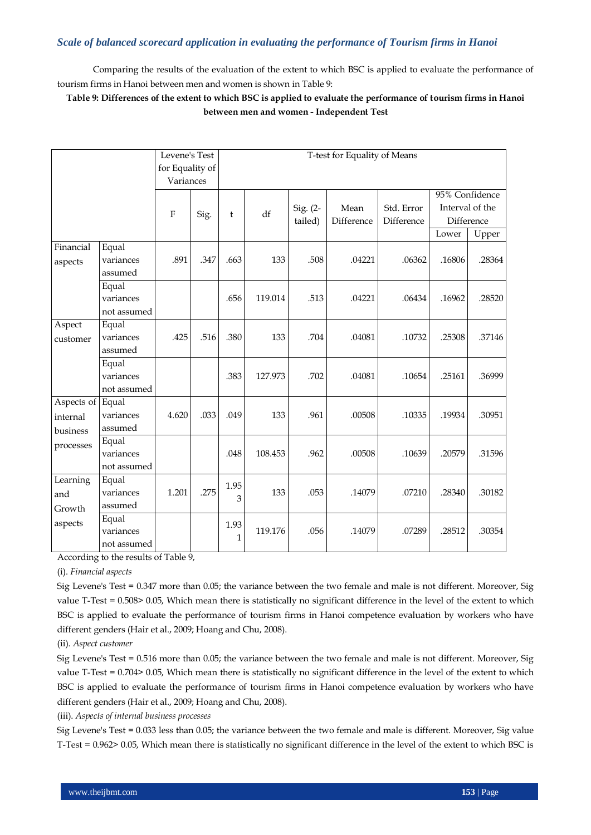Comparing the results of the evaluation of the extent to which BSC is applied to evaluate the performance of tourism firms in Hanoi between men and women is shown in Table 9:

## **Table 9: Differences of the extent to which BSC is applied to evaluate the performance of tourism firms in Hanoi between men and women - Independent Test**

|            | Levene's Test<br>T-test for Equality of Means |                 |      |              |         |          |            |            |                 |        |
|------------|-----------------------------------------------|-----------------|------|--------------|---------|----------|------------|------------|-----------------|--------|
|            |                                               | for Equality of |      |              |         |          |            |            |                 |        |
|            |                                               | Variances       |      |              |         |          |            |            |                 |        |
|            |                                               |                 |      |              |         |          |            |            | 95% Confidence  |        |
|            |                                               |                 |      |              |         | Sig. (2- | Mean       | Std. Error | Interval of the |        |
|            |                                               | $\mathbf{F}$    | Sig. | t            | df      | tailed)  | Difference | Difference | Difference      |        |
|            |                                               |                 |      |              |         |          |            |            | Lower           | Upper  |
| Financial  | Equal                                         |                 |      |              |         |          |            |            |                 |        |
| aspects    | variances                                     | .891            | .347 | .663         | 133     | .508     | .04221     | .06362     | .16806          | .28364 |
|            | assumed                                       |                 |      |              |         |          |            |            |                 |        |
|            | Equal                                         |                 |      |              |         |          |            |            |                 |        |
|            | variances                                     |                 |      | .656         | 119.014 | .513     | .04221     | .06434     | .16962          | .28520 |
|            | not assumed                                   |                 |      |              |         |          |            |            |                 |        |
| Aspect     | Equal                                         |                 |      |              |         |          |            |            |                 |        |
| customer   | variances                                     | .425            | .516 | .380         | 133     | .704     | .04081     | .10732     | .25308          | .37146 |
|            | assumed                                       |                 |      |              |         |          |            |            |                 |        |
|            | Equal                                         |                 |      |              |         |          |            |            |                 |        |
|            | variances                                     |                 |      | .383         | 127.973 | .702     | .04081     | .10654     | .25161          | .36999 |
|            | not assumed                                   |                 |      |              |         |          |            |            |                 |        |
| Aspects of | Equal                                         |                 |      |              |         |          |            |            |                 |        |
| internal   | variances                                     | 4.620           | .033 | .049         | 133     | .961     | .00508     | .10335     | .19934          | .30951 |
| business   | assumed                                       |                 |      |              |         |          |            |            |                 |        |
| processes  | Equal                                         |                 |      |              |         |          |            |            |                 |        |
|            | variances                                     |                 |      | .048         | 108.453 | .962     | .00508     | .10639     | .20579          | .31596 |
|            | not assumed                                   |                 |      |              |         |          |            |            |                 |        |
| Learning   | Equal                                         |                 |      | 1.95         |         |          |            |            |                 |        |
| and        | variances                                     | 1.201           | .275 | 3            | 133     | .053     | .14079     | .07210     | .28340          | .30182 |
| Growth     | assumed                                       |                 |      |              |         |          |            |            |                 |        |
| aspects    | Equal                                         |                 |      | 1.93         |         |          |            |            |                 |        |
|            | variances                                     |                 |      | $\mathbf{1}$ | 119.176 | .056     | .14079     | .07289     | .28512          | .30354 |
|            | not assumed                                   |                 |      |              |         |          |            |            |                 |        |

According to the results of Table 9,

(i). *Financial aspects*

Sig Levene's Test = 0.347 more than 0.05; the variance between the two female and male is not different. Moreover, Sig value T-Test = 0.508> 0.05, Which mean there is statistically no significant difference in the level of the extent to which BSC is applied to evaluate the performance of tourism firms in Hanoi competence evaluation by workers who have different genders (Hair et al., 2009; Hoang and Chu, 2008).

(ii). *Aspect customer*

Sig Levene's Test = 0.516 more than 0.05; the variance between the two female and male is not different. Moreover, Sig value T-Test = 0.704> 0.05, Which mean there is statistically no significant difference in the level of the extent to which BSC is applied to evaluate the performance of tourism firms in Hanoi competence evaluation by workers who have different genders (Hair et al., 2009; Hoang and Chu, 2008).

(iii). *Aspects of internal business processes*

Sig Levene's Test = 0.033 less than 0.05; the variance between the two female and male is different. Moreover, Sig value T-Test = 0.962> 0.05, Which mean there is statistically no significant difference in the level of the extent to which BSC is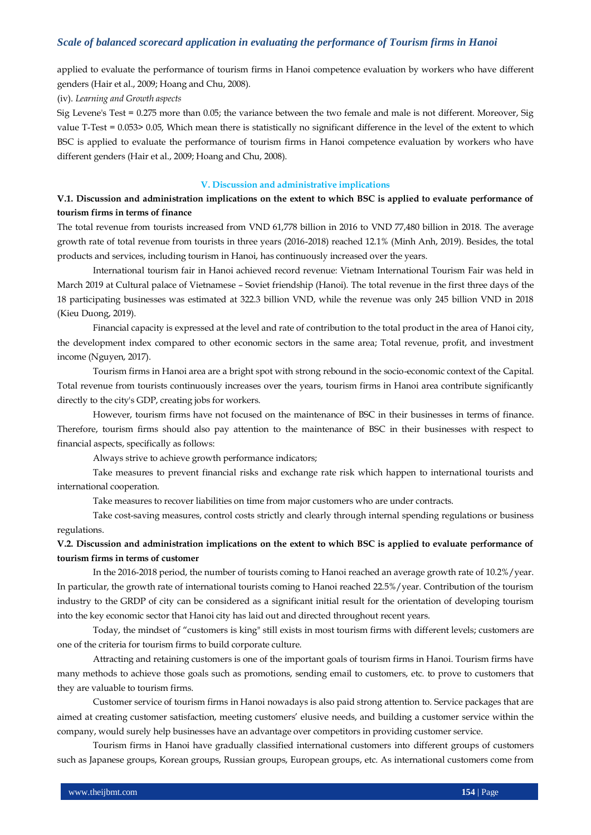applied to evaluate the performance of tourism firms in Hanoi competence evaluation by workers who have different genders (Hair et al., 2009; Hoang and Chu, 2008).

#### (iv). *Learning and Growth aspects*

Sig Levene's Test = 0.275 more than 0.05; the variance between the two female and male is not different. Moreover, Sig value T-Test = 0.053> 0.05, Which mean there is statistically no significant difference in the level of the extent to which BSC is applied to evaluate the performance of tourism firms in Hanoi competence evaluation by workers who have different genders (Hair et al., 2009; Hoang and Chu, 2008).

#### **V. Discussion and administrative implications**

## **V.1. Discussion and administration implications on the extent to which BSC is applied to evaluate performance of tourism firms in terms of finance**

The total revenue from tourists increased from VND 61,778 billion in 2016 to VND 77,480 billion in 2018. The average growth rate of total revenue from tourists in three years (2016-2018) reached 12.1% (Minh Anh, 2019). Besides, the total products and services, including tourism in Hanoi, has continuously increased over the years.

International tourism fair in Hanoi achieved record revenue: Vietnam International Tourism Fair was held in March 2019 at Cultural palace of Vietnamese – Soviet friendship (Hanoi). The total revenue in the first three days of the 18 participating businesses was estimated at 322.3 billion VND, while the revenue was only 245 billion VND in 2018 (Kieu Duong, 2019).

Financial capacity is expressed at the level and rate of contribution to the total product in the area of Hanoi city, the development index compared to other economic sectors in the same area; Total revenue, profit, and investment income (Nguyen, 2017).

Tourism firms in Hanoi area are a bright spot with strong rebound in the socio-economic context of the Capital. Total revenue from tourists continuously increases over the years, tourism firms in Hanoi area contribute significantly directly to the city's GDP, creating jobs for workers.

However, tourism firms have not focused on the maintenance of BSC in their businesses in terms of finance. Therefore, tourism firms should also pay attention to the maintenance of BSC in their businesses with respect to financial aspects, specifically as follows:

Always strive to achieve growth performance indicators;

Take measures to prevent financial risks and exchange rate risk which happen to international tourists and international cooperation.

Take measures to recover liabilities on time from major customers who are under contracts.

Take cost-saving measures, control costs strictly and clearly through internal spending regulations or business regulations.

**V.2. Discussion and administration implications on the extent to which BSC is applied to evaluate performance of tourism firms in terms of customer**

In the 2016-2018 period, the number of tourists coming to Hanoi reached an average growth rate of 10.2%/year. In particular, the growth rate of international tourists coming to Hanoi reached 22.5%/year. Contribution of the tourism industry to the GRDP of city can be considered as a significant initial result for the orientation of developing tourism into the key economic sector that Hanoi city has laid out and directed throughout recent years.

Today, the mindset of "customers is king" still exists in most tourism firms with different levels; customers are one of the criteria for tourism firms to build corporate culture.

Attracting and retaining customers is one of the important goals of tourism firms in Hanoi. Tourism firms have many methods to achieve those goals such as promotions, sending email to customers, etc. to prove to customers that they are valuable to tourism firms.

Customer service of tourism firms in Hanoi nowadays is also paid strong attention to. Service packages that are aimed at creating customer satisfaction, meeting customers' elusive needs, and building a customer service within the company, would surely help businesses have an advantage over competitors in providing customer service.

Tourism firms in Hanoi have gradually classified international customers into different groups of customers such as Japanese groups, Korean groups, Russian groups, European groups, etc. As international customers come from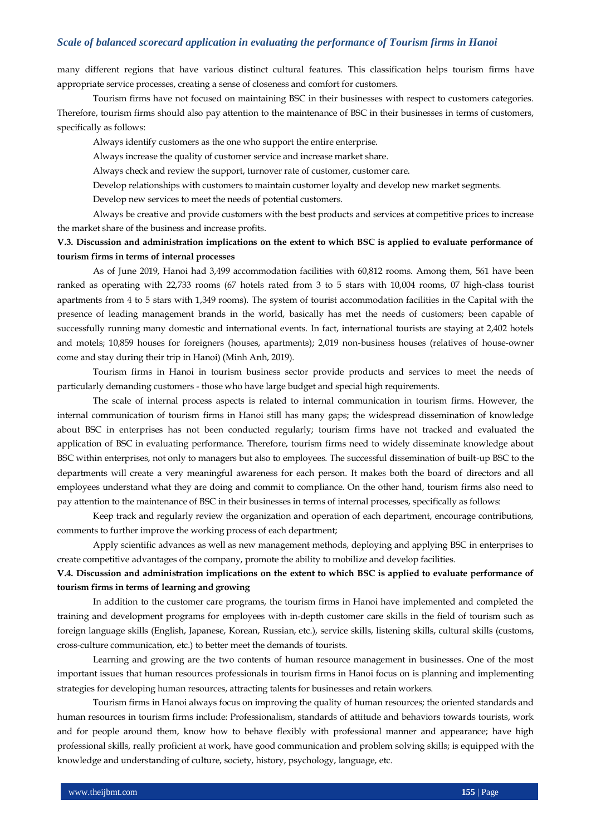many different regions that have various distinct cultural features. This classification helps tourism firms have appropriate service processes, creating a sense of closeness and comfort for customers.

Tourism firms have not focused on maintaining BSC in their businesses with respect to customers categories. Therefore, tourism firms should also pay attention to the maintenance of BSC in their businesses in terms of customers, specifically as follows:

Always identify customers as the one who support the entire enterprise.

Always increase the quality of customer service and increase market share.

Always check and review the support, turnover rate of customer, customer care.

Develop relationships with customers to maintain customer loyalty and develop new market segments.

Develop new services to meet the needs of potential customers.

Always be creative and provide customers with the best products and services at competitive prices to increase the market share of the business and increase profits.

## **V.3. Discussion and administration implications on the extent to which BSC is applied to evaluate performance of tourism firms in terms of internal processes**

As of June 2019, Hanoi had 3,499 accommodation facilities with 60,812 rooms. Among them, 561 have been ranked as operating with 22,733 rooms (67 hotels rated from 3 to 5 stars with 10,004 rooms, 07 high-class tourist apartments from 4 to 5 stars with 1,349 rooms). The system of tourist accommodation facilities in the Capital with the presence of leading management brands in the world, basically has met the needs of customers; been capable of successfully running many domestic and international events. In fact, international tourists are staying at 2,402 hotels and motels; 10,859 houses for foreigners (houses, apartments); 2,019 non-business houses (relatives of house-owner come and stay during their trip in Hanoi) (Minh Anh, 2019).

Tourism firms in Hanoi in tourism business sector provide products and services to meet the needs of particularly demanding customers - those who have large budget and special high requirements.

The scale of internal process aspects is related to internal communication in tourism firms. However, the internal communication of tourism firms in Hanoi still has many gaps; the widespread dissemination of knowledge about BSC in enterprises has not been conducted regularly; tourism firms have not tracked and evaluated the application of BSC in evaluating performance. Therefore, tourism firms need to widely disseminate knowledge about BSC within enterprises, not only to managers but also to employees. The successful dissemination of built-up BSC to the departments will create a very meaningful awareness for each person. It makes both the board of directors and all employees understand what they are doing and commit to compliance. On the other hand, tourism firms also need to pay attention to the maintenance of BSC in their businesses in terms of internal processes, specifically as follows:

Keep track and regularly review the organization and operation of each department, encourage contributions, comments to further improve the working process of each department;

Apply scientific advances as well as new management methods, deploying and applying BSC in enterprises to create competitive advantages of the company, promote the ability to mobilize and develop facilities.

## **V.4. Discussion and administration implications on the extent to which BSC is applied to evaluate performance of tourism firms in terms of learning and growing**

In addition to the customer care programs, the tourism firms in Hanoi have implemented and completed the training and development programs for employees with in-depth customer care skills in the field of tourism such as foreign language skills (English, Japanese, Korean, Russian, etc.), service skills, listening skills, cultural skills (customs, cross-culture communication, etc.) to better meet the demands of tourists.

Learning and growing are the two contents of human resource management in businesses. One of the most important issues that human resources professionals in tourism firms in Hanoi focus on is planning and implementing strategies for developing human resources, attracting talents for businesses and retain workers.

Tourism firms in Hanoi always focus on improving the quality of human resources; the oriented standards and human resources in tourism firms include: Professionalism, standards of attitude and behaviors towards tourists, work and for people around them, know how to behave flexibly with professional manner and appearance; have high professional skills, really proficient at work, have good communication and problem solving skills; is equipped with the knowledge and understanding of culture, society, history, psychology, language, etc.